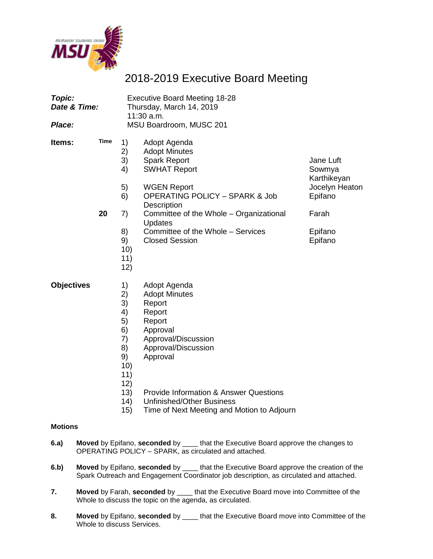

## 2018-2019 Executive Board Meeting

| Topic:<br>Date & Time:<br>Place: |                   | <b>Executive Board Meeting 18-28</b><br>Thursday, March 14, 2019<br>11:30 a.m.<br>MSU Boardroom, MUSC 201 |                                                                                                                                                                                                                                                                                                 |                                                                                                |  |
|----------------------------------|-------------------|-----------------------------------------------------------------------------------------------------------|-------------------------------------------------------------------------------------------------------------------------------------------------------------------------------------------------------------------------------------------------------------------------------------------------|------------------------------------------------------------------------------------------------|--|
| Items:                           | <b>Time</b><br>20 | 1)<br>2)<br>3)<br>4)<br>5)<br>6)<br>7)<br>8)<br>9)<br>10)<br>11)<br>12)                                   | Adopt Agenda<br><b>Adopt Minutes</b><br><b>Spark Report</b><br><b>SWHAT Report</b><br><b>WGEN Report</b><br><b>OPERATING POLICY - SPARK &amp; Job</b><br><b>Description</b><br>Committee of the Whole - Organizational<br>Updates<br>Committee of the Whole - Services<br><b>Closed Session</b> | Jane Luft<br>Sowmya<br>Karthikeyan<br>Jocelyn Heaton<br>Epifano<br>Farah<br>Epifano<br>Epifano |  |
| <b>Objectives</b>                |                   | 1)<br>$\binom{2}{3}$<br>4)<br>5)<br>6)<br>7)<br>8)<br>9)<br>10)<br>11)<br>12)                             | Adopt Agenda<br><b>Adopt Minutes</b><br>Report<br>Report<br>Report<br>Approval<br>Approval/Discussion<br>Approval/Discussion<br>Approval                                                                                                                                                        |                                                                                                |  |

- 13) Provide Information & Answer Questions
- 14) Unfinished/Other Business
- 15) Time of Next Meeting and Motion to Adjourn

#### **Motions**

- **6.a) Moved** by Epifano, **seconded** by \_\_\_\_ that the Executive Board approve the changes to OPERATING POLICY – SPARK, as circulated and attached.
- **6.b) Moved** by Epifano, **seconded** by \_\_\_\_ that the Executive Board approve the creation of the Spark Outreach and Engagement Coordinator job description, as circulated and attached.
- **7. Moved** by Farah, **seconded** by \_\_\_\_ that the Executive Board move into Committee of the Whole to discuss the topic on the agenda, as circulated.
- **8. Moved** by Epifano, **seconded** by \_\_\_\_ that the Executive Board move into Committee of the Whole to discuss Services.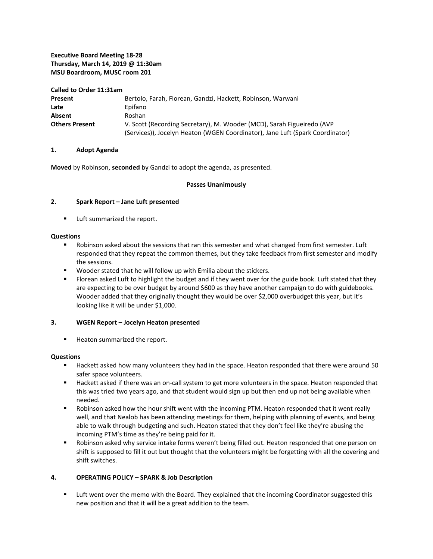#### **Executive Board Meeting 18-28 Thursday, March 14, 2019 @ 11:30am MSU Boardroom, MUSC room 201**

**Called to Order 11:31am Present** Bertolo, Farah, Florean, Gandzi, Hackett, Robinson, Warwani Late **Epifano** Absent Roshan **Others Present** V. Scott (Recording Secretary), M. Wooder (MCD), Sarah Figueiredo (AVP (Services)), Jocelyn Heaton (WGEN Coordinator), Jane Luft (Spark Coordinator)

#### **1. Adopt Agenda**

**Moved** by Robinson, **seconded** by Gandzi to adopt the agenda, as presented.

#### **Passes Unanimously**

#### **2. Spark Report – Jane Luft presented**

**Luft summarized the report.** 

#### **Questions**

- Robinson asked about the sessions that ran this semester and what changed from first semester. Luft responded that they repeat the common themes, but they take feedback from first semester and modify the sessions.
- **Wooder stated that he will follow up with Emilia about the stickers.**
- **FIDED** Florean asked Luft to highlight the budget and if they went over for the guide book. Luft stated that they are expecting to be over budget by around \$600 as they have another campaign to do with guidebooks. Wooder added that they originally thought they would be over \$2,000 overbudget this year, but it's looking like it will be under \$1,000.

#### **3. WGEN Report – Jocelyn Heaton presented**

**Heaton summarized the report.** 

#### **Questions**

- Hackett asked how many volunteers they had in the space. Heaton responded that there were around 50 safer space volunteers.
- Hackett asked if there was an on-call system to get more volunteers in the space. Heaton responded that this was tried two years ago, and that student would sign up but then end up not being available when needed.
- Robinson asked how the hour shift went with the incoming PTM. Heaton responded that it went really well, and that Nealob has been attending meetings for them, helping with planning of events, and being able to walk through budgeting and such. Heaton stated that they don't feel like they're abusing the incoming PTM's time as they're being paid for it.
- Robinson asked why service intake forms weren't being filled out. Heaton responded that one person on shift is supposed to fill it out but thought that the volunteers might be forgetting with all the covering and shift switches.

#### **4. OPERATING POLICY – SPARK & Job Description**

**EXECT 1** Luft went over the memo with the Board. They explained that the incoming Coordinator suggested this new position and that it will be a great addition to the team.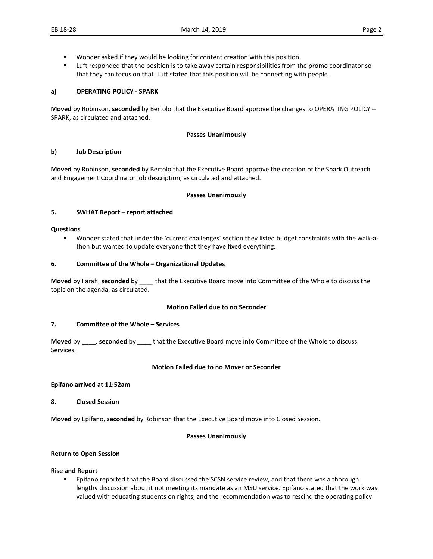- **Wooder asked if they would be looking for content creation with this position.**
- **EXECUTE:** Luft responded that the position is to take away certain responsibilities from the promo coordinator so that they can focus on that. Luft stated that this position will be connecting with people.

#### **a) OPERATING POLICY - SPARK**

**Moved** by Robinson, **seconded** by Bertolo that the Executive Board approve the changes to OPERATING POLICY – SPARK, as circulated and attached.

#### **Passes Unanimously**

#### **b) Job Description**

**Moved** by Robinson, **seconded** by Bertolo that the Executive Board approve the creation of the Spark Outreach and Engagement Coordinator job description, as circulated and attached.

#### **Passes Unanimously**

#### **5. SWHAT Report – report attached**

#### **Questions**

 Wooder stated that under the 'current challenges' section they listed budget constraints with the walk-athon but wanted to update everyone that they have fixed everything.

#### **6. Committee of the Whole – Organizational Updates**

**Moved** by Farah, **seconded** by \_\_\_\_ that the Executive Board move into Committee of the Whole to discuss the topic on the agenda, as circulated.

#### **Motion Failed due to no Seconder**

#### **7. Committee of the Whole – Services**

**Moved** by \_\_\_\_, **seconded** by \_\_\_\_ that the Executive Board move into Committee of the Whole to discuss Services.

#### **Motion Failed due to no Mover or Seconder**

#### **Epifano arrived at 11:52am**

**8. Closed Session**

**Moved** by Epifano, **seconded** by Robinson that the Executive Board move into Closed Session.

#### **Passes Unanimously**

#### **Return to Open Session**

#### **Rise and Report**

**EPIFALL STANO FIFALLY** Epifano reported that the Board discussed the SCSN service review, and that there was a thorough lengthy discussion about it not meeting its mandate as an MSU service. Epifano stated that the work was valued with educating students on rights, and the recommendation was to rescind the operating policy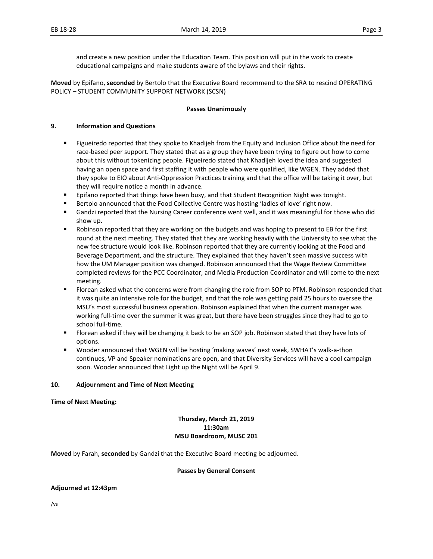and create a new position under the Education Team. This position will put in the work to create educational campaigns and make students aware of the bylaws and their rights.

**Moved** by Epifano, **seconded** by Bertolo that the Executive Board recommend to the SRA to rescind OPERATING POLICY – STUDENT COMMUNITY SUPPORT NETWORK (SCSN)

#### **Passes Unanimously**

#### **9. Information and Questions**

- **Figueiredo reported that they spoke to Khadijeh from the Equity and Inclusion Office about the need for inclusion** race-based peer support. They stated that as a group they have been trying to figure out how to come about this without tokenizing people. Figueiredo stated that Khadijeh loved the idea and suggested having an open space and first staffing it with people who were qualified, like WGEN. They added that they spoke to EIO about Anti-Oppression Practices training and that the office will be taking it over, but they will require notice a month in advance.
- **Epifano reported that things have been busy, and that Student Recognition Night was tonight.**
- Bertolo announced that the Food Collective Centre was hosting 'ladles of love' right now.
- Gandzi reported that the Nursing Career conference went well, and it was meaningful for those who did show up.
- Robinson reported that they are working on the budgets and was hoping to present to EB for the first round at the next meeting. They stated that they are working heavily with the University to see what the new fee structure would look like. Robinson reported that they are currently looking at the Food and Beverage Department, and the structure. They explained that they haven't seen massive success with how the UM Manager position was changed. Robinson announced that the Wage Review Committee completed reviews for the PCC Coordinator, and Media Production Coordinator and will come to the next meeting.
- Florean asked what the concerns were from changing the role from SOP to PTM. Robinson responded that it was quite an intensive role for the budget, and that the role was getting paid 25 hours to oversee the MSU's most successful business operation. Robinson explained that when the current manager was working full-time over the summer it was great, but there have been struggles since they had to go to school full-time.
- Florean asked if they will be changing it back to be an SOP job. Robinson stated that they have lots of options.
- Wooder announced that WGEN will be hosting 'making waves' next week, SWHAT's walk-a-thon continues, VP and Speaker nominations are open, and that Diversity Services will have a cool campaign soon. Wooder announced that Light up the Night will be April 9.

#### **10. Adjournment and Time of Next Meeting**

**Time of Next Meeting:** 

#### **Thursday, March 21, 2019 11:30am MSU Boardroom, MUSC 201**

**Moved** by Farah, **seconded** by Gandzi that the Executive Board meeting be adjourned.

#### **Passes by General Consent**

#### **Adjourned at 12:43pm**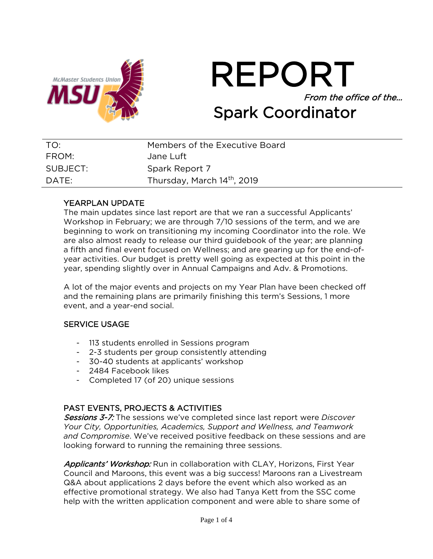



| TO:      | Members of the Executive Board          |
|----------|-----------------------------------------|
| FROM:    | Jane Luft                               |
| SUBJECT: | Spark Report 7                          |
| DATE:    | Thursday, March 14 <sup>th</sup> , 2019 |

## YEARPLAN UPDATE

The main updates since last report are that we ran a successful Applicants' Workshop in February; we are through 7/10 sessions of the term, and we are beginning to work on transitioning my incoming Coordinator into the role. We are also almost ready to release our third guidebook of the year; are planning a fifth and final event focused on Wellness; and are gearing up for the end-ofyear activities. Our budget is pretty well going as expected at this point in the year, spending slightly over in Annual Campaigns and Adv. & Promotions.

A lot of the major events and projects on my Year Plan have been checked off and the remaining plans are primarily finishing this term's Sessions, 1 more event, and a year-end social.

## SERVICE USAGE

- 113 students enrolled in Sessions program
- 2-3 students per group consistently attending
- 30-40 students at applicants' workshop
- 2484 Facebook likes
- Completed 17 (of 20) unique sessions

## PAST EVENTS, PROJECTS & ACTIVITIES

Sessions 3-7: The sessions we've completed since last report were *Discover Your City, Opportunities, Academics, Support and Wellness, and Teamwork and Compromise*. We've received positive feedback on these sessions and are looking forward to running the remaining three sessions.

Applicants' Workshop: Run in collaboration with CLAY, Horizons, First Year Council and Maroons, this event was a big success! Maroons ran a Livestream Q&A about applications 2 days before the event which also worked as an effective promotional strategy. We also had Tanya Kett from the SSC come help with the written application component and were able to share some of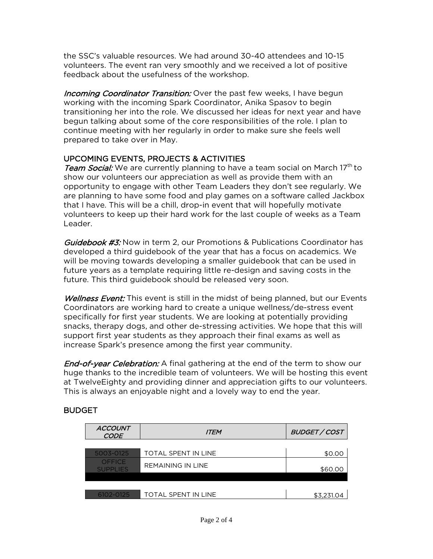the SSC's valuable resources. We had around 30-40 attendees and 10-15 volunteers. The event ran very smoothly and we received a lot of positive feedback about the usefulness of the workshop.

Incoming Coordinator Transition: Over the past few weeks, I have begun working with the incoming Spark Coordinator, Anika Spasov to begin transitioning her into the role. We discussed her ideas for next year and have begun talking about some of the core responsibilities of the role. I plan to continue meeting with her regularly in order to make sure she feels well prepared to take over in May.

## UPCOMING EVENTS, PROJECTS & ACTIVITIES

Team Social: We are currently planning to have a team social on March 17<sup>th</sup> to show our volunteers our appreciation as well as provide them with an opportunity to engage with other Team Leaders they don't see regularly. We are planning to have some food and play games on a software called Jackbox that I have. This will be a chill, drop-in event that will hopefully motivate volunteers to keep up their hard work for the last couple of weeks as a Team Leader.

Guidebook #3: Now in term 2, our Promotions & Publications Coordinator has developed a third guidebook of the year that has a focus on academics. We will be moving towards developing a smaller guidebook that can be used in future years as a template requiring little re-design and saving costs in the future. This third guidebook should be released very soon.

Wellness Event: This event is still in the midst of being planned, but our Events Coordinators are working hard to create a unique wellness/de-stress event specifically for first year students. We are looking at potentially providing snacks, therapy dogs, and other de-stressing activities. We hope that this will support first year students as they approach their final exams as well as increase Spark's presence among the first year community.

**End-of-year Celebration:** A final gathering at the end of the term to show our huge thanks to the incredible team of volunteers. We will be hosting this event at TwelveEighty and providing dinner and appreciation gifts to our volunteers. This is always an enjoyable night and a lovely way to end the year.

## **BUDGET**

| <b>ACCOUNT</b><br><b>CODE</b>    | <b>ITEM</b>                | <b>BUDGET / COST</b> |
|----------------------------------|----------------------------|----------------------|
|                                  |                            |                      |
| 5003-0125                        | <b>TOTAL SPENT IN LINE</b> | \$0.00               |
| <b>OFFICE</b><br><b>SUPPLIES</b> | <b>REMAINING IN LINE</b>   | \$60.00              |
|                                  |                            |                      |
|                                  |                            |                      |
| 6102-0125                        | <b>TOTAL SPENT IN LINE</b> | \$3,231.04           |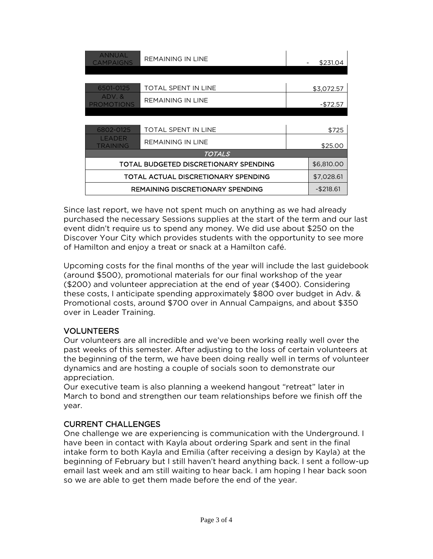| <b>ANNUAL</b><br>CAMPAIGNS              | <b>REMAINING IN LINE</b><br>\$231.04 |  |              |
|-----------------------------------------|--------------------------------------|--|--------------|
|                                         |                                      |  |              |
| 6501-0125                               | <b>TOTAL SPENT IN LINE</b>           |  | \$3,072.57   |
| ADV.&<br><b>PROMOTIONS</b>              | <b>REMAINING IN LINE</b>             |  | $-$72.57$    |
|                                         |                                      |  |              |
| 6802-0125                               | <b>TOTAL SPENT IN LINE</b>           |  | \$725        |
| LEADER<br>TRAINING                      | <b>REMAINING IN LINE</b>             |  |              |
|                                         | <b>TOTALS</b>                        |  |              |
| TOTAL BUDGETED DISCRETIONARY SPENDING   |                                      |  | \$6,810.00   |
| TOTAL ACTUAL DISCRETIONARY SPENDING     |                                      |  | \$7,028.61   |
| <b>REMAINING DISCRETIONARY SPENDING</b> |                                      |  | $-$ \$218.61 |

Since last report, we have not spent much on anything as we had already purchased the necessary Sessions supplies at the start of the term and our last event didn't require us to spend any money. We did use about \$250 on the Discover Your City which provides students with the opportunity to see more of Hamilton and enjoy a treat or snack at a Hamilton café.

Upcoming costs for the final months of the year will include the last guidebook (around \$500), promotional materials for our final workshop of the year (\$200) and volunteer appreciation at the end of year (\$400). Considering these costs, I anticipate spending approximately \$800 over budget in Adv. & Promotional costs, around \$700 over in Annual Campaigns, and about \$350 over in Leader Training.

## VOLUNTEERS

Our volunteers are all incredible and we've been working really well over the past weeks of this semester. After adjusting to the loss of certain volunteers at the beginning of the term, we have been doing really well in terms of volunteer dynamics and are hosting a couple of socials soon to demonstrate our appreciation.

Our executive team is also planning a weekend hangout "retreat" later in March to bond and strengthen our team relationships before we finish off the year.

## CURRENT CHALLENGES

One challenge we are experiencing is communication with the Underground. I have been in contact with Kayla about ordering Spark and sent in the final intake form to both Kayla and Emilia (after receiving a design by Kayla) at the beginning of February but I still haven't heard anything back. I sent a follow-up email last week and am still waiting to hear back. I am hoping I hear back soon so we are able to get them made before the end of the year.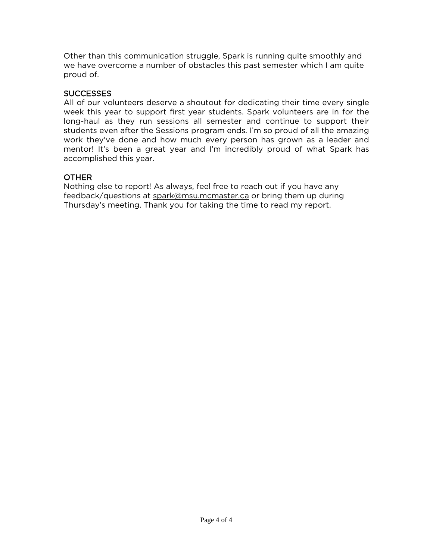Other than this communication struggle, Spark is running quite smoothly and we have overcome a number of obstacles this past semester which I am quite proud of.

## SUCCESSES

All of our volunteers deserve a shoutout for dedicating their time every single week this year to support first year students. Spark volunteers are in for the long-haul as they run sessions all semester and continue to support their students even after the Sessions program ends. I'm so proud of all the amazing work they've done and how much every person has grown as a leader and mentor! It's been a great year and I'm incredibly proud of what Spark has accomplished this year.

## OTHER

Nothing else to report! As always, feel free to reach out if you have any feedback/questions at [spark@msu.mcmaster.ca](mailto:spark@msu.mcmaster.ca) or bring them up during Thursday's meeting. Thank you for taking the time to read my report.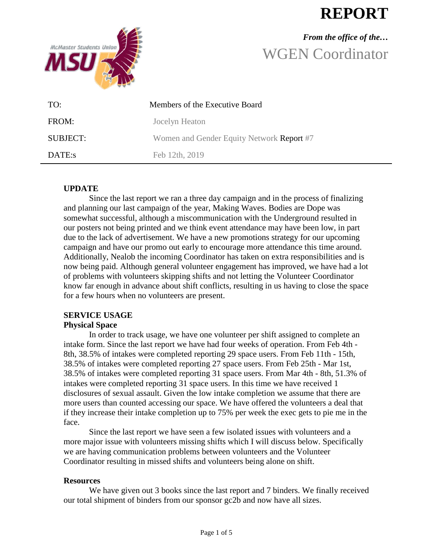# **REPORT**



# *From the office of the…* WGEN Coordinator

| TO:      | Members of the Executive Board            |
|----------|-------------------------------------------|
| FROM:    | Jocelyn Heaton                            |
| SUBJECT: | Women and Gender Equity Network Report #7 |
| DATE:s   | Feb 12th, 2019                            |

## **UPDATE**

Since the last report we ran a three day campaign and in the process of finalizing and planning our last campaign of the year, Making Waves. Bodies are Dope was somewhat successful, although a miscommunication with the Underground resulted in our posters not being printed and we think event attendance may have been low, in part due to the lack of advertisement. We have a new promotions strategy for our upcoming campaign and have our promo out early to encourage more attendance this time around. Additionally, Nealob the incoming Coordinator has taken on extra responsibilities and is now being paid. Although general volunteer engagement has improved, we have had a lot of problems with volunteers skipping shifts and not letting the Volunteer Coordinator know far enough in advance about shift conflicts, resulting in us having to close the space for a few hours when no volunteers are present.

## **SERVICE USAGE**

## **Physical Space**

In order to track usage, we have one volunteer per shift assigned to complete an intake form. Since the last report we have had four weeks of operation. From Feb 4th - 8th, 38.5% of intakes were completed reporting 29 space users. From Feb 11th - 15th, 38.5% of intakes were completed reporting 27 space users. From Feb 25th - Mar 1st, 38.5% of intakes were completed reporting 31 space users. From Mar 4th - 8th, 51.3% of intakes were completed reporting 31 space users. In this time we have received 1 disclosures of sexual assault. Given the low intake completion we assume that there are more users than counted accessing our space. We have offered the volunteers a deal that if they increase their intake completion up to 75% per week the exec gets to pie me in the face.

Since the last report we have seen a few isolated issues with volunteers and a more major issue with volunteers missing shifts which I will discuss below. Specifically we are having communication problems between volunteers and the Volunteer Coordinator resulting in missed shifts and volunteers being alone on shift.

#### **Resources**

We have given out 3 books since the last report and 7 binders. We finally received our total shipment of binders from our sponsor gc2b and now have all sizes.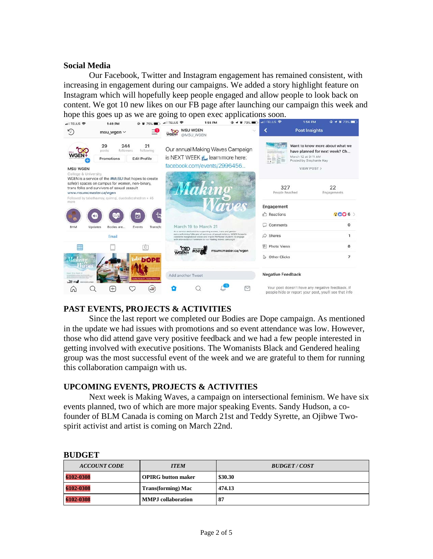#### **Social Media**

Our Facebook, Twitter and Instagram engagement has remained consistent, with increasing in engagement during our campaigns. We added a story highlight feature on Instagram which will hopefully keep people engaged and allow people to look back on content. We got 10 new likes on our FB page after launching our campaign this week and



## **PAST EVENTS, PROJECTS & ACTIVITIES**

Since the last report we completed our Bodies are Dope campaign. As mentioned in the update we had issues with promotions and so event attendance was low. However, those who did attend gave very positive feedback and we had a few people interested in getting involved with executive positions. The Womanists Black and Gendered healing group was the most successful event of the week and we are grateful to them for running this collaboration campaign with us.

#### **UPCOMING EVENTS, PROJECTS & ACTIVITIES**

Next week is Making Waves, a campaign on intersectional feminism. We have six events planned, two of which are more major speaking Events. Sandy Hudson, a cofounder of BLM Canada is coming on March 21st and Teddy Syrette, an Ojibwe Twospirit activist and artist is coming on March 22nd.

| <b>ACCOUNT CODE</b> | <b>ITEM</b>               | <b>BUDGET/COST</b> |
|---------------------|---------------------------|--------------------|
| 6102-0308           | <b>OPIRG</b> button maker | \$30.30            |
| 6102-0308           | <b>Trans(forming)</b> Mac | 474.13             |
| 6102-0308           | <b>MMPJ</b> collaboration | 87                 |

#### **BUDGET**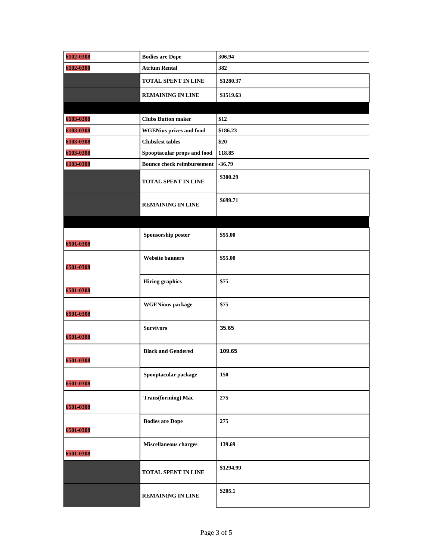| 6102-0308 | <b>Bodies are Dope</b>            | 306.94    |
|-----------|-----------------------------------|-----------|
| 6102-0308 | <b>Atrium Rental</b>              | 382       |
|           | <b>TOTAL SPENT IN LINE</b>        | \$1280.37 |
|           | <b>REMAINING IN LINE</b>          | \$1519.63 |
|           |                                   |           |
| 6103-0308 | <b>Clubs Button maker</b>         | \$12      |
| 6103-0308 | <b>WGENius prizes and food</b>    | \$186.23  |
| 6103-0308 | <b>Clubsfest tables</b>           | \$20      |
| 6103-0308 | Spooptacular props and food       | 118.85    |
| 6103-0308 | <b>Bounce check reimbursement</b> | $-36.79$  |
|           | <b>TOTAL SPENT IN LINE</b>        | \$300.29  |
|           | <b>REMAINING IN LINE</b>          | \$699.71  |
|           |                                   |           |
| 6501-0308 | Sponsorship poster                | \$55.00   |
| 6501-0308 | <b>Website banners</b>            | \$55.00   |
| 6501-0308 | <b>Hiring graphics</b>            | \$75      |
| 6501-0308 | <b>WGENious</b> package           | \$75      |
| 6501-0308 | <b>Survivors</b>                  | 35.65     |
| 6501-0308 | <b>Black and Gendered</b>         | 109.65    |
| 6501-0308 | Spooptacular package              | 150       |
| 6501-0308 | <b>Trans(forming)</b> Mac         | 275       |
| 6501-0308 | <b>Bodies are Dope</b>            | 275       |
| 6501-0308 | Miscellaneous charges             | 139.69    |
|           | TOTAL SPENT IN LINE               | \$1294.99 |
|           | <b>REMAINING IN LINE</b>          | \$205.1   |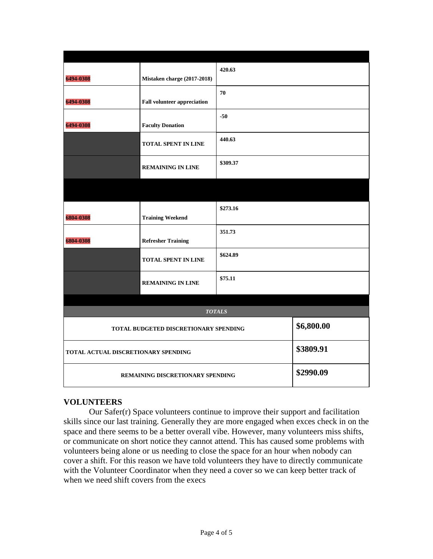|                                     |                                        | 420.63   |            |  |  |
|-------------------------------------|----------------------------------------|----------|------------|--|--|
| 6494-0308                           | Mistaken charge (2017-2018)            |          |            |  |  |
|                                     |                                        | 70       |            |  |  |
| 6494-0308                           | <b>Fall volunteer appreciation</b>     |          |            |  |  |
|                                     |                                        | $-50$    |            |  |  |
| 6494-0308                           | <b>Faculty Donation</b>                |          |            |  |  |
|                                     | TOTAL SPENT IN LINE                    | 440.63   |            |  |  |
|                                     | <b>REMAINING IN LINE</b>               | \$309.37 |            |  |  |
|                                     |                                        |          |            |  |  |
|                                     |                                        | \$273.16 |            |  |  |
| 6804-0308                           | <b>Training Weekend</b>                |          |            |  |  |
| 6804-0308                           | <b>Refresher Training</b>              | 351.73   |            |  |  |
|                                     | \$624.89<br><b>TOTAL SPENT IN LINE</b> |          |            |  |  |
|                                     | \$75.11<br><b>REMAINING IN LINE</b>    |          |            |  |  |
|                                     |                                        |          |            |  |  |
|                                     | <b>TOTALS</b>                          |          |            |  |  |
|                                     | TOTAL BUDGETED DISCRETIONARY SPENDING  |          | \$6,800.00 |  |  |
| TOTAL ACTUAL DISCRETIONARY SPENDING |                                        |          | \$3809.91  |  |  |
|                                     | REMAINING DISCRETIONARY SPENDING       |          | \$2990.09  |  |  |

## **VOLUNTEERS**

Our Safer(r) Space volunteers continue to improve their support and facilitation skills since our last training. Generally they are more engaged when exces check in on the space and there seems to be a better overall vibe. However, many volunteers miss shifts, or communicate on short notice they cannot attend. This has caused some problems with volunteers being alone or us needing to close the space for an hour when nobody can cover a shift. For this reason we have told volunteers they have to directly communicate with the Volunteer Coordinator when they need a cover so we can keep better track of when we need shift covers from the execs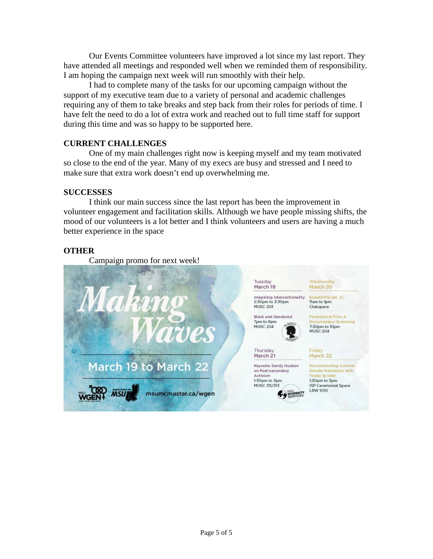Our Events Committee volunteers have improved a lot since my last report. They have attended all meetings and responded well when we reminded them of responsibility. I am hoping the campaign next week will run smoothly with their help.

I had to complete many of the tasks for our upcoming campaign without the support of my executive team due to a variety of personal and academic challenges requiring any of them to take breaks and step back from their roles for periods of time. I have felt the need to do a lot of extra work and reached out to full time staff for support during this time and was so happy to be supported here.

#### **CURRENT CHALLENGES**

One of my main challenges right now is keeping myself and my team motivated so close to the end of the year. Many of my execs are busy and stressed and I need to make sure that extra work doesn't end up overwhelming me.

#### **SUCCESSES**

I think our main success since the last report has been the improvement in volunteer engagement and facilitation skills. Although we have people missing shifts, the mood of our volunteers is a lot better and I think volunteers and users are having a much better experience in the space

## **OTHER**

Campaign promo for next week!

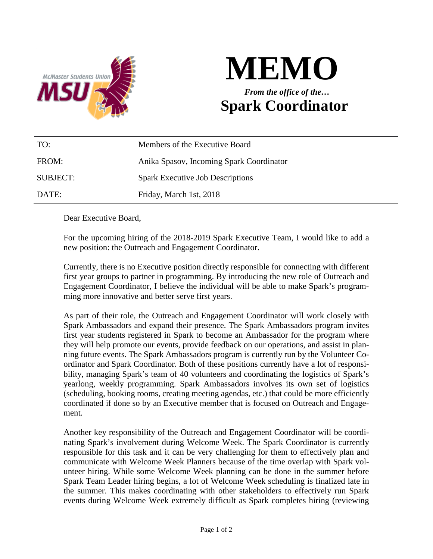



| TO:      | Members of the Executive Board           |
|----------|------------------------------------------|
| FROM:    | Anika Spasov, Incoming Spark Coordinator |
| SUBJECT: | <b>Spark Executive Job Descriptions</b>  |
| DATE:    | Friday, March 1st, 2018                  |

Dear Executive Board,

For the upcoming hiring of the 2018-2019 Spark Executive Team, I would like to add a new position: the Outreach and Engagement Coordinator.

Currently, there is no Executive position directly responsible for connecting with different first year groups to partner in programming. By introducing the new role of Outreach and Engagement Coordinator, I believe the individual will be able to make Spark's programming more innovative and better serve first years.

As part of their role, the Outreach and Engagement Coordinator will work closely with Spark Ambassadors and expand their presence. The Spark Ambassadors program invites first year students registered in Spark to become an Ambassador for the program where they will help promote our events, provide feedback on our operations, and assist in planning future events. The Spark Ambassadors program is currently run by the Volunteer Coordinator and Spark Coordinator. Both of these positions currently have a lot of responsibility, managing Spark's team of 40 volunteers and coordinating the logistics of Spark's yearlong, weekly programming. Spark Ambassadors involves its own set of logistics (scheduling, booking rooms, creating meeting agendas, etc.) that could be more efficiently coordinated if done so by an Executive member that is focused on Outreach and Engagement.

Another key responsibility of the Outreach and Engagement Coordinator will be coordinating Spark's involvement during Welcome Week. The Spark Coordinator is currently responsible for this task and it can be very challenging for them to effectively plan and communicate with Welcome Week Planners because of the time overlap with Spark volunteer hiring. While some Welcome Week planning can be done in the summer before Spark Team Leader hiring begins, a lot of Welcome Week scheduling is finalized late in the summer. This makes coordinating with other stakeholders to effectively run Spark events during Welcome Week extremely difficult as Spark completes hiring (reviewing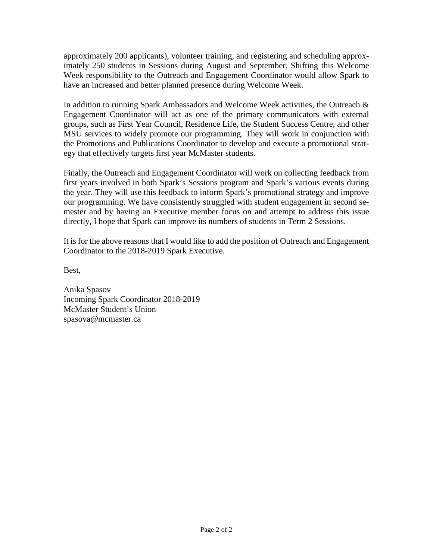approximately 200 applicants), volunteer training, and registering and scheduling approximately 250 students in Sessions during August and September. Shifting this Welcome Week responsibility to the Outreach and Engagement Coordinator would allow Spark to have an increased and better planned presence during Welcome Week.

In addition to running Spark Ambassadors and Welcome Week activities, the Outreach & Engagement Coordinator will act as one of the primary communicators with external groups, such as First Year Council, Residence Life, the Student Success Centre, and other MSU services to widely promote our programming. They will work in conjunction with the Promotions and Publications Coordinator to develop and execute a promotional strategy that effectively targets first year McMaster students.

Finally, the Outreach and Engagement Coordinator will work on collecting feedback from first years involved in both Spark's Sessions program and Spark's various events during the year. They will use this feedback to inform Spark's promotional strategy and improve our programming. We have consistently struggled with student engagement in second semester and by having an Executive member focus on and attempt to address this issue directly, I hope that Spark can improve its numbers of students in Term 2 Sessions.

It is for the above reasons that I would like to add the position of Outreach and Engagement Coordinator to the 2018-2019 Spark Executive.

Best,

Anika Spasov Incoming Spark Coordinator 2018-2019 McMaster Student's Union spasova@mcmaster.ca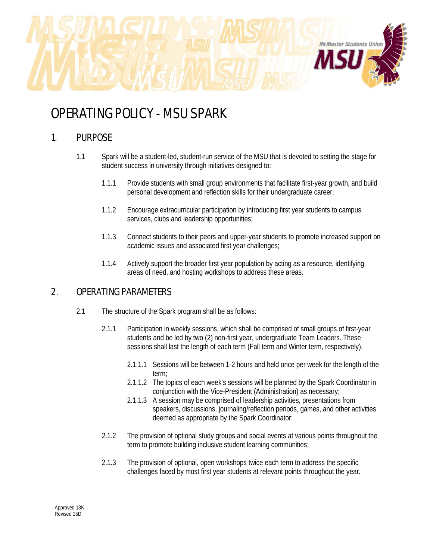

# OPERATING POLICY - MSU SPARK

## 1. PURPOSE

- 1.1 Spark will be a student-led, student-run service of the MSU that is devoted to setting the stage for student success in university through initiatives designed to:
	- 1.1.1 Provide students with small group environments that facilitate first-year growth, and build personal development and reflection skills for their undergraduate career;
	- 1.1.2 Encourage extracurricular participation by introducing first year students to campus services, clubs and leadership opportunities;
	- 1.1.3 Connect students to their peers and upper-year students to promote increased support on academic issues and associated first year challenges;
	- 1.1.4 Actively support the broader first year population by acting as a resource, identifying areas of need, and hosting workshops to address these areas.

## 2. OPERATING PARAMETERS

- 2.1 The structure of the Spark program shall be as follows:
	- 2.1.1 Participation in weekly sessions, which shall be comprised of small groups of first-year students and be led by two (2) non-first year, undergraduate Team Leaders. These sessions shall last the length of each term (Fall term and Winter term, respectively).
		- 2.1.1.1 Sessions will be between 1-2 hours and held once per week for the length of the term;
		- 2.1.1.2 The topics of each week's sessions will be planned by the Spark Coordinator in conjunction with the Vice-President (Administration) as necessary;
		- 2.1.1.3 A session may be comprised of leadership activities, presentations from speakers, discussions, journaling/reflection periods, games, and other activities deemed as appropriate by the Spark Coordinator;
	- 2.1.2 The provision of optional study groups and social events at various points throughout the term to promote building inclusive student learning communities;
	- 2.1.3 The provision of optional, open workshops twice each term to address the specific challenges faced by most first year students at relevant points throughout the year.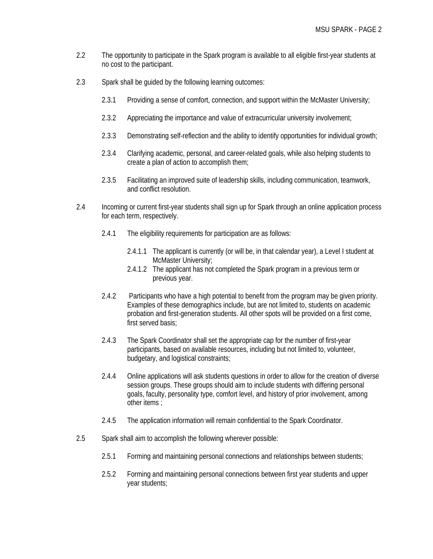- 2.2 The opportunity to participate in the Spark program is available to all eligible first-year students at no cost to the participant.
- 2.3 Spark shall be guided by the following learning outcomes:
	- 2.3.1 Providing a sense of comfort, connection, and support within the McMaster University;
	- 2.3.2 Appreciating the importance and value of extracurricular university involvement;
	- 2.3.3 Demonstrating self-reflection and the ability to identify opportunities for individual growth;
	- 2.3.4 Clarifying academic, personal, and career-related goals, while also helping students to create a plan of action to accomplish them;
	- 2.3.5 Facilitating an improved suite of leadership skills, including communication, teamwork, and conflict resolution.
- 2.4 Incoming or current first-year students shall sign up for Spark through an online application process for each term, respectively.
	- 2.4.1 The eligibility requirements for participation are as follows:
		- 2.4.1.1 The applicant is currently (or will be, in that calendar year), a Level I student at McMaster University;
		- 2.4.1.2 The applicant has not completed the Spark program in a previous term or previous year.
	- 2.4.2 Participants who have a high potential to benefit from the program may be given priority. Examples of these demographics include, but are not limited to, students on academic probation and first-generation students. All other spots will be provided on a first come, first served basis;
	- 2.4.3 The Spark Coordinator shall set the appropriate cap for the number of first-year participants, based on available resources, including but not limited to, volunteer, budgetary, and logistical constraints;
	- 2.4.4 Online applications will ask students questions in order to allow for the creation of diverse session groups. These groups should aim to include students with differing personal goals, faculty, personality type, comfort level, and history of prior involvement, among other items ;
	- 2.4.5 The application information will remain confidential to the Spark Coordinator.
- 2.5 Spark shall aim to accomplish the following wherever possible:
	- 2.5.1 Forming and maintaining personal connections and relationships between students;
	- 2.5.2 Forming and maintaining personal connections between first year students and upper year students;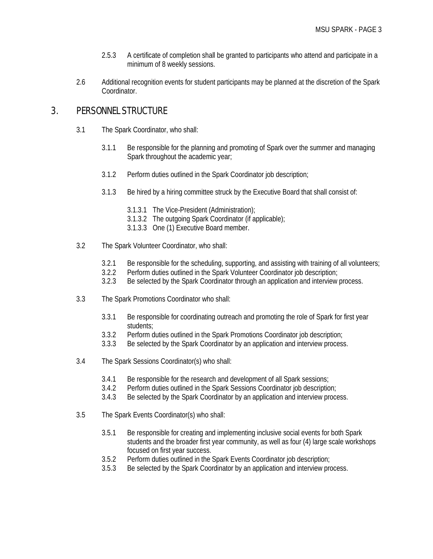- 2.5.3 A certificate of completion shall be granted to participants who attend and participate in a minimum of 8 weekly sessions.
- 2.6 Additional recognition events for student participants may be planned at the discretion of the Spark Coordinator.

## 3. PERSONNEL STRUCTURE

- 3.1 The Spark Coordinator, who shall:
	- 3.1.1 Be responsible for the planning and promoting of Spark over the summer and managing Spark throughout the academic year;
	- 3.1.2 Perform duties outlined in the Spark Coordinator job description;
	- 3.1.3 Be hired by a hiring committee struck by the Executive Board that shall consist of:
		- 3.1.3.1 The Vice-President (Administration);
		- 3.1.3.2 The outgoing Spark Coordinator (if applicable);
		- 3.1.3.3 One (1) Executive Board member.
- 3.2 The Spark Volunteer Coordinator, who shall:
	- 3.2.1 Be responsible for the scheduling, supporting, and assisting with training of all volunteers;
	- 3.2.2 Perform duties outlined in the Spark Volunteer Coordinator job description;
	- 3.2.3 Be selected by the Spark Coordinator through an application and interview process.
- 3.3 The Spark Promotions Coordinator who shall:
	- 3.3.1 Be responsible for coordinating outreach and promoting the role of Spark for first year students;
	- 3.3.2 Perform duties outlined in the Spark Promotions Coordinator job description;
	- 3.3.3 Be selected by the Spark Coordinator by an application and interview process.
- 3.4 The Spark Sessions Coordinator(s) who shall:
	- 3.4.1 Be responsible for the research and development of all Spark sessions;
	- 3.4.2 Perform duties outlined in the Spark Sessions Coordinator job description;
	- 3.4.3 Be selected by the Spark Coordinator by an application and interview process.
- 3.5 The Spark Events Coordinator(s) who shall:
	- 3.5.1 Be responsible for creating and implementing inclusive social events for both Spark students and the broader first year community, as well as four (4) large scale workshops focused on first year success.
	- 3.5.2 Perform duties outlined in the Spark Events Coordinator job description;
	- 3.5.3 Be selected by the Spark Coordinator by an application and interview process.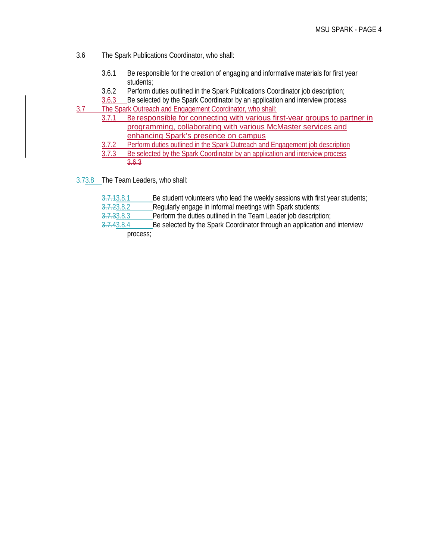- 3.6 The Spark Publications Coordinator, who shall:
	- 3.6.1 Be responsible for the creation of engaging and informative materials for first year students;
	- 3.6.2 Perform duties outlined in the Spark Publications Coordinator job description;
- 3.6.3 Be selected by the Spark Coordinator by an application and interview process 3.7 The Spark Outreach and Engagement Coordinator, who shall:
	- 3.7.1 Be responsible for connecting with various first-year groups to partner in programming, collaborating with various McMaster services and enhancing Spark's presence on campus
		- 3.7.2 Perform duties outlined in the Spark Outreach and Engagement job description
		- 3.7.3 Be selected by the Spark Coordinator by an application and interview process 3.6.3
- 3.73.8 The Team Leaders, who shall:
	- 3.7.13.8.1 Be student volunteers who lead the weekly sessions with first year students;
	- 3.7.23.8.2 Regularly engage in informal meetings with Spark students;<br>3.7.33.8.3 Perform the duties outlined in the Team Leader job description
	- Perform the duties outlined in the Team Leader job description;

3.7.43.8.4 Be selected by the Spark Coordinator through an application and interview process;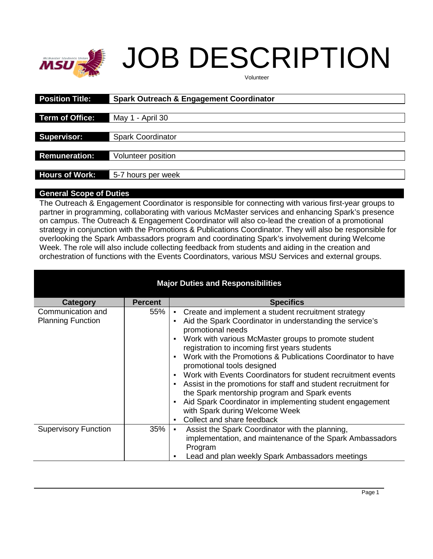

# JOB DESCRIPTION

Volunteer

| <b>Position Title:</b> | <b>Spark Outreach &amp; Engagement Coordinator</b> |
|------------------------|----------------------------------------------------|
|                        |                                                    |
| Term of Office:        | May 1 - April 30                                   |
|                        |                                                    |
| <b>Supervisor:</b>     | <b>Spark Coordinator</b>                           |
| <b>Remuneration:</b>   | Volunteer position                                 |
|                        |                                                    |
| <b>Hours of Work:</b>  | 5-7 hours per week                                 |

#### **General Scope of Duties**

The Outreach & Engagement Coordinator is responsible for connecting with various first-year groups to partner in programming, collaborating with various McMaster services and enhancing Spark's presence on campus. The Outreach & Engagement Coordinator will also co-lead the creation of a promotional strategy in conjunction with the Promotions & Publications Coordinator. They will also be responsible for overlooking the Spark Ambassadors program and coordinating Spark's involvement during Welcome Week. The role will also include collecting feedback from students and aiding in the creation and orchestration of functions with the Events Coordinators, various MSU Services and external groups.

| <b>Major Duties and Responsibilities</b>      |                |                                                                                                                                                                                                                                                                                                                                                                                                                                                                                                                                                                                                                                                                                                                                                                            |  |  |
|-----------------------------------------------|----------------|----------------------------------------------------------------------------------------------------------------------------------------------------------------------------------------------------------------------------------------------------------------------------------------------------------------------------------------------------------------------------------------------------------------------------------------------------------------------------------------------------------------------------------------------------------------------------------------------------------------------------------------------------------------------------------------------------------------------------------------------------------------------------|--|--|
| <b>Category</b>                               | <b>Percent</b> | <b>Specifics</b>                                                                                                                                                                                                                                                                                                                                                                                                                                                                                                                                                                                                                                                                                                                                                           |  |  |
| Communication and<br><b>Planning Function</b> | 55%            | Create and implement a student recruitment strategy<br>٠<br>Aid the Spark Coordinator in understanding the service's<br>$\blacksquare$<br>promotional needs<br>Work with various McMaster groups to promote student<br>$\blacksquare$<br>registration to incoming first years students<br>Work with the Promotions & Publications Coordinator to have<br>promotional tools designed<br>Work with Events Coordinators for student recruitment events<br>$\blacksquare$<br>Assist in the promotions for staff and student recruitment for<br>$\blacksquare$<br>the Spark mentorship program and Spark events<br>Aid Spark Coordinator in implementing student engagement<br>$\blacksquare$<br>with Spark during Welcome Week<br>Collect and share feedback<br>$\blacksquare$ |  |  |
| <b>Supervisory Function</b>                   | 35%            | Assist the Spark Coordinator with the planning,<br>$\blacksquare$<br>implementation, and maintenance of the Spark Ambassadors<br>Program<br>Lead and plan weekly Spark Ambassadors meetings<br>٠                                                                                                                                                                                                                                                                                                                                                                                                                                                                                                                                                                           |  |  |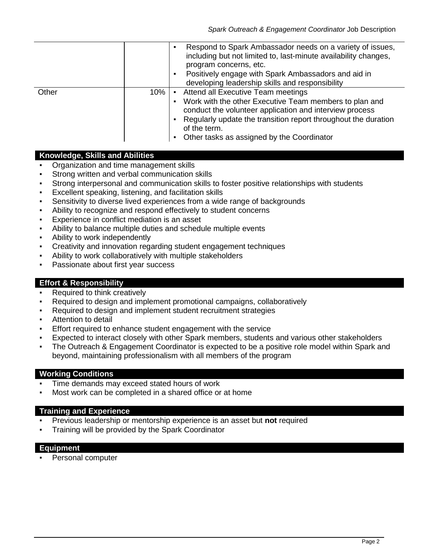|       |     | Respond to Spark Ambassador needs on a variety of issues,       |
|-------|-----|-----------------------------------------------------------------|
|       |     | including but not limited to, last-minute availability changes, |
|       |     | program concerns, etc.                                          |
|       |     | Positively engage with Spark Ambassadors and aid in             |
|       |     | developing leadership skills and responsibility                 |
| Other | 10% | Attend all Executive Team meetings                              |
|       |     | Work with the other Executive Team members to plan and          |
|       |     | conduct the volunteer application and interview process         |
|       |     | Regularly update the transition report throughout the duration  |
|       |     | of the term.                                                    |
|       |     | Other tasks as assigned by the Coordinator<br>$\blacksquare$    |

#### **Knowledge, Skills and Abilities**

- Organization and time management skills
- Strong written and verbal communication skills
- **•** Strong interpersonal and communication skills to foster positive relationships with students
- Excellent speaking, listening, and facilitation skills
- Sensitivity to diverse lived experiences from a wide range of backgrounds
- Ability to recognize and respond effectively to student concerns
- Experience in conflict mediation is an asset
- Ability to balance multiple duties and schedule multiple events
- Ability to work independently
- Creativity and innovation regarding student engagement techniques
- Ability to work collaboratively with multiple stakeholders
- Passionate about first year success

#### **Effort & Responsibility**

- Required to think creatively
- Required to design and implement promotional campaigns, collaboratively
- Required to design and implement student recruitment strategies
- Attention to detail
- Effort required to enhance student engagement with the service
- Expected to interact closely with other Spark members, students and various other stakeholders
- The Outreach & Engagement Coordinator is expected to be a positive role model within Spark and beyond, maintaining professionalism with all members of the program

#### **Working Conditions**

- Time demands may exceed stated hours of work
- Most work can be completed in a shared office or at home

#### **Training and Experience**

- Previous leadership or mentorship experience is an asset but **not** required
- Training will be provided by the Spark Coordinator

#### **Equipment**

**•** Personal computer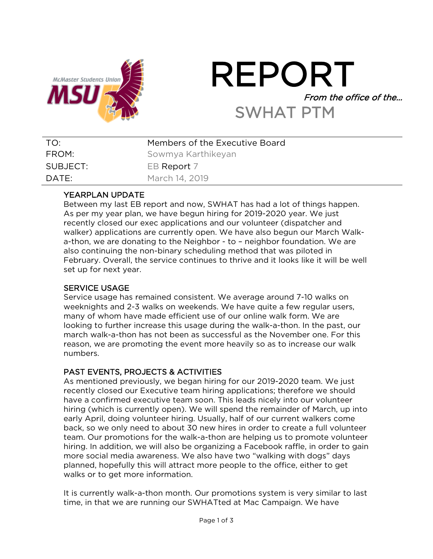

# REPORT From the office of the… SWHAT PTM

| TO:      | Members of the Executive Board |
|----------|--------------------------------|
| FROM:    | Sowmya Karthikeyan             |
| SUBJECT: | EB Report 7                    |
| DATE:    | March 14, 2019                 |

## YEARPLAN UPDATE

Between my last EB report and now, SWHAT has had a lot of things happen. As per my year plan, we have begun hiring for 2019-2020 year. We just recently closed our exec applications and our volunteer (dispatcher and walker) applications are currently open. We have also begun our March Walka-thon, we are donating to the Neighbor - to – neighbor foundation. We are also continuing the non-binary scheduling method that was piloted in February. Overall, the service continues to thrive and it looks like it will be well set up for next year.

## SERVICE USAGE

Service usage has remained consistent. We average around 7-10 walks on weeknights and 2-3 walks on weekends. We have quite a few regular users, many of whom have made efficient use of our online walk form. We are looking to further increase this usage during the walk-a-thon. In the past, our march walk-a-thon has not been as successful as the November one. For this reason, we are promoting the event more heavily so as to increase our walk numbers.

## PAST EVENTS, PROJECTS & ACTIVITIES

As mentioned previously, we began hiring for our 2019-2020 team. We just recently closed our Executive team hiring applications; therefore we should have a confirmed executive team soon. This leads nicely into our volunteer hiring (which is currently open). We will spend the remainder of March, up into early April, doing volunteer hiring. Usually, half of our current walkers come back, so we only need to about 30 new hires in order to create a full volunteer team. Our promotions for the walk-a-thon are helping us to promote volunteer hiring. In addition, we will also be organizing a Facebook raffle, in order to gain more social media awareness. We also have two "walking with dogs" days planned, hopefully this will attract more people to the office, either to get walks or to get more information.

It is currently walk-a-thon month. Our promotions system is very similar to last time, in that we are running our SWHATted at Mac Campaign. We have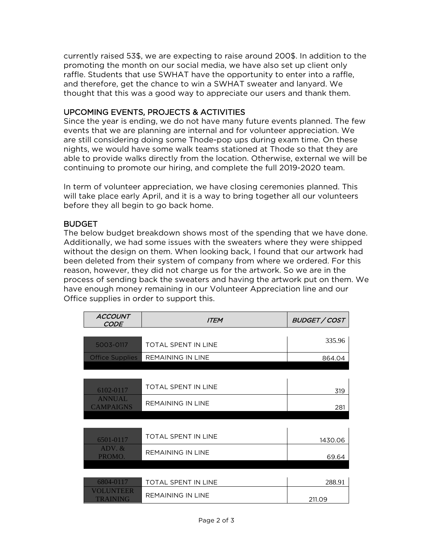currently raised 53\$, we are expecting to raise around 200\$. In addition to the promoting the month on our social media, we have also set up client only raffle. Students that use SWHAT have the opportunity to enter into a raffle, and therefore, get the chance to win a SWHAT sweater and lanyard. We thought that this was a good way to appreciate our users and thank them.

## UPCOMING EVENTS, PROJECTS & ACTIVITIES

Since the year is ending, we do not have many future events planned. The few events that we are planning are internal and for volunteer appreciation. We are still considering doing some Thode-pop ups during exam time. On these nights, we would have some walk teams stationed at Thode so that they are able to provide walks directly from the location. Otherwise, external we will be continuing to promote our hiring, and complete the full 2019-2020 team.

In term of volunteer appreciation, we have closing ceremonies planned. This will take place early April, and it is a way to bring together all our volunteers before they all begin to go back home.

## BUDGET

The below budget breakdown shows most of the spending that we have done. Additionally, we had some issues with the sweaters where they were shipped without the design on them. When looking back, I found that our artwork had been deleted from their system of company from where we ordered. For this reason, however, they did not charge us for the artwork. So we are in the process of sending back the sweaters and having the artwork put on them. We have enough money remaining in our Volunteer Appreciation line and our Office supplies in order to support this.

| <b>ACCOUNT</b><br><b>CODE</b>       | <i><b>ITEM</b></i>         | <b>BUDGET / COST</b> |
|-------------------------------------|----------------------------|----------------------|
|                                     |                            |                      |
| 5003-0117                           | <b>TOTAL SPENT IN LINE</b> | 335.96               |
| <b>Office Supplies</b>              | <b>REMAINING IN LINE</b>   | 864.04               |
|                                     |                            |                      |
|                                     |                            |                      |
| 6102-0117                           | TOTAL SPENT IN LINE        | 319                  |
| <b>ANNUAL</b><br><b>CAMPAIGNS</b>   | <b>REMAINING IN LINE</b>   | 281                  |
|                                     |                            |                      |
|                                     |                            |                      |
| 6501-0117                           | <b>TOTAL SPENT IN LINE</b> | 1430.06              |
| $ADV.$ &<br>PROMO.                  | <b>REMAINING IN LINE</b>   | 69.64                |
|                                     |                            |                      |
|                                     |                            |                      |
| 6804-0117                           | <b>TOTAL SPENT IN LINE</b> | 288.91               |
| <b>VOLUNTEER</b><br><b>TRAINING</b> | REMAINING IN LINE          | 211.09               |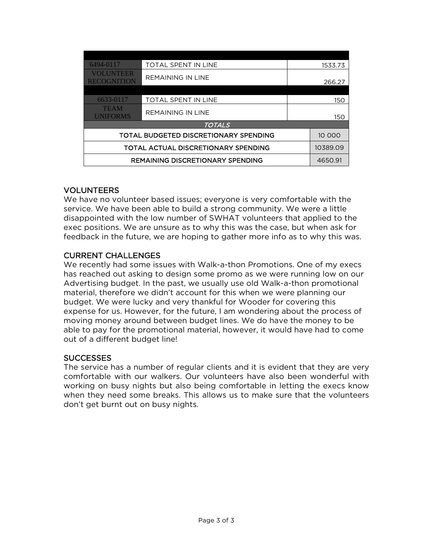| 6494-0117                               | <b>TOTAL SPENT IN LINE</b> |         | 1533.73  |
|-----------------------------------------|----------------------------|---------|----------|
| <b>VOLUNTEER</b><br><b>RECOGNITION</b>  | <b>REMAINING IN LINE</b>   |         | 266.27   |
|                                         |                            |         |          |
| 6633-0117                               | <b>TOTAL SPENT IN LINE</b> |         | 150      |
| <b>TEAM</b><br><b>UNIFORMS</b>          | <b>REMAINING IN LINE</b>   |         | 150      |
| <b>TOTALS</b>                           |                            |         |          |
| TOTAL BUDGETED DISCRETIONARY SPENDING   |                            |         | 10 000   |
| TOTAL ACTUAL DISCRETIONARY SPENDING     |                            |         | 10389.09 |
| <b>REMAINING DISCRETIONARY SPENDING</b> |                            | 4650.91 |          |

## VOLUNTEERS

We have no volunteer based issues; everyone is very comfortable with the service. We have been able to build a strong community. We were a little disappointed with the low number of SWHAT volunteers that applied to the exec positions. We are unsure as to why this was the case, but when ask for feedback in the future, we are hoping to gather more info as to why this was.

## CURRENT CHALLENGES

We recently had some issues with Walk-a-thon Promotions. One of my execs has reached out asking to design some promo as we were running low on our Advertising budget. In the past, we usually use old Walk-a-thon promotional material, therefore we didn't account for this when we were planning our budget. We were lucky and very thankful for Wooder for covering this expense for us. However, for the future, I am wondering about the process of moving money around between budget lines. We do have the money to be able to pay for the promotional material, however, it would have had to come out of a different budget line!

## **SUCCESSES**

The service has a number of regular clients and it is evident that they are very comfortable with our walkers. Our volunteers have also been wonderful with working on busy nights but also being comfortable in letting the execs know when they need some breaks. This allows us to make sure that the volunteers don't get burnt out on busy nights.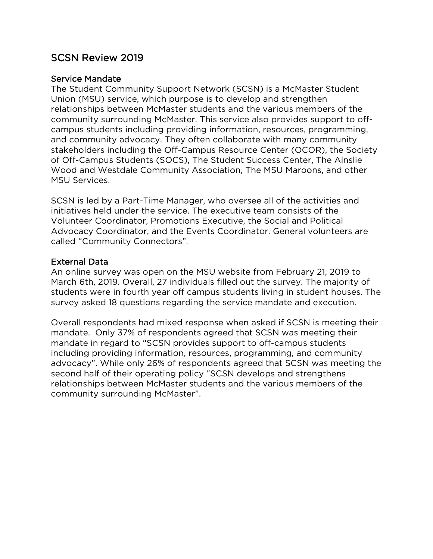## SCSN Review 2019

## Service Mandate

The Student Community Support Network (SCSN) is a McMaster Student Union (MSU) service, which purpose is to develop and strengthen relationships between McMaster students and the various members of the community surrounding McMaster. This service also provides support to offcampus students including providing information, resources, programming, and community advocacy. They often collaborate with many community stakeholders including the Off-Campus Resource Center (OCOR), the Society of Off-Campus Students (SOCS), The Student Success Center, The Ainslie Wood and Westdale Community Association, The MSU Maroons, and other MSU Services.

SCSN is led by a Part-Time Manager, who oversee all of the activities and initiatives held under the service. The executive team consists of the Volunteer Coordinator, Promotions Executive, the Social and Political Advocacy Coordinator, and the Events Coordinator. General volunteers are called "Community Connectors".

## External Data

An online survey was open on the MSU website from February 21, 2019 to March 6th, 2019. Overall, 27 individuals filled out the survey. The majority of students were in fourth year off campus students living in student houses. The survey asked 18 questions regarding the service mandate and execution.

Overall respondents had mixed response when asked if SCSN is meeting their mandate. Only 37% of respondents agreed that SCSN was meeting their mandate in regard to "SCSN provides support to off-campus students including providing information, resources, programming, and community advocacy". While only 26% of respondents agreed that SCSN was meeting the second half of their operating policy "SCSN develops and strengthens relationships between McMaster students and the various members of the community surrounding McMaster".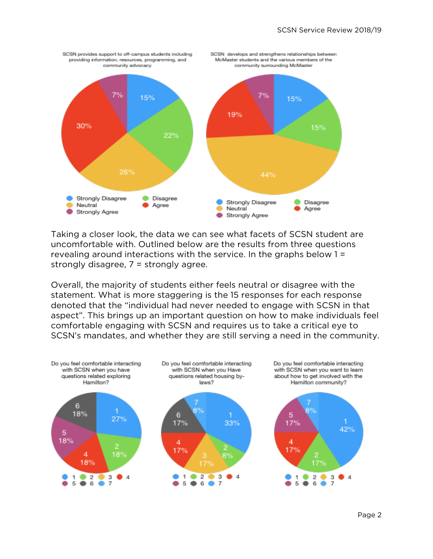

Taking a closer look, the data we can see what facets of SCSN student are uncomfortable with. Outlined below are the results from three questions revealing around interactions with the service. In the graphs below 1 = strongly disagree, 7 = strongly agree.

Overall, the majority of students either feels neutral or disagree with the statement. What is more staggering is the 15 responses for each response denoted that the "individual had never needed to engage with SCSN in that aspect". This brings up an important question on how to make individuals feel comfortable engaging with SCSN and requires us to take a critical eye to SCSN's mandates, and whether they are still serving a need in the community.

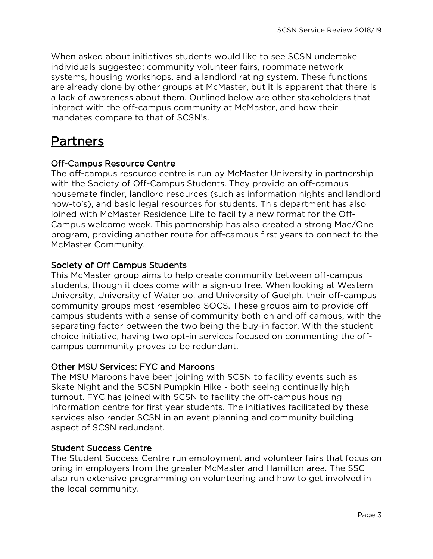When asked about initiatives students would like to see SCSN undertake individuals suggested: community volunteer fairs, roommate network systems, housing workshops, and a landlord rating system. These functions are already done by other groups at McMaster, but it is apparent that there is a lack of awareness about them. Outlined below are other stakeholders that interact with the off-campus community at McMaster, and how their mandates compare to that of SCSN's.

# Partners

## Off-Campus Resource Centre

The off-campus resource centre is run by McMaster University in partnership with the Society of Off-Campus Students. They provide an off-campus housemate finder, landlord resources (such as information nights and landlord how-to's), and basic legal resources for students. This department has also joined with McMaster Residence Life to facility a new format for the Off-Campus welcome week. This partnership has also created a strong Mac/One program, providing another route for off-campus first years to connect to the McMaster Community.

## Society of Off Campus Students

This McMaster group aims to help create community between off-campus students, though it does come with a sign-up free. When looking at Western University, University of Waterloo, and University of Guelph, their off-campus community groups most resembled SOCS. These groups aim to provide off campus students with a sense of community both on and off campus, with the separating factor between the two being the buy-in factor. With the student choice initiative, having two opt-in services focused on commenting the offcampus community proves to be redundant.

## Other MSU Services: FYC and Maroons

The MSU Maroons have been joining with SCSN to facility events such as Skate Night and the SCSN Pumpkin Hike - both seeing continually high turnout. FYC has joined with SCSN to facility the off-campus housing information centre for first year students. The initiatives facilitated by these services also render SCSN in an event planning and community building aspect of SCSN redundant.

## Student Success Centre

The Student Success Centre run employment and volunteer fairs that focus on bring in employers from the greater McMaster and Hamilton area. The SSC also run extensive programming on volunteering and how to get involved in the local community.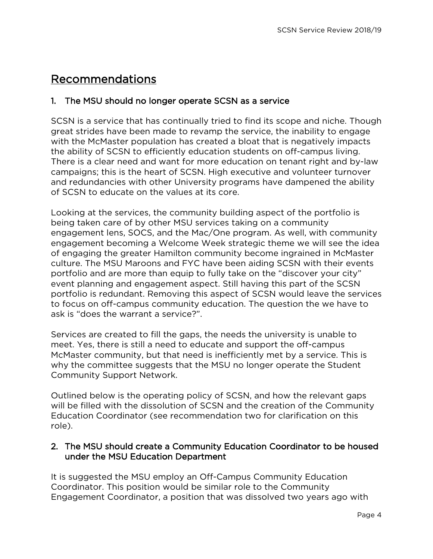# Recommendations

## 1. The MSU should no longer operate SCSN as a service

SCSN is a service that has continually tried to find its scope and niche. Though great strides have been made to revamp the service, the inability to engage with the McMaster population has created a bloat that is negatively impacts the ability of SCSN to efficiently education students on off-campus living. There is a clear need and want for more education on tenant right and by-law campaigns; this is the heart of SCSN. High executive and volunteer turnover and redundancies with other University programs have dampened the ability of SCSN to educate on the values at its core.

Looking at the services, the community building aspect of the portfolio is being taken care of by other MSU services taking on a community engagement lens, SOCS, and the Mac/One program. As well, with community engagement becoming a Welcome Week strategic theme we will see the idea of engaging the greater Hamilton community become ingrained in McMaster culture. The MSU Maroons and FYC have been aiding SCSN with their events portfolio and are more than equip to fully take on the "discover your city" event planning and engagement aspect. Still having this part of the SCSN portfolio is redundant. Removing this aspect of SCSN would leave the services to focus on off-campus community education. The question the we have to ask is "does the warrant a service?".

Services are created to fill the gaps, the needs the university is unable to meet. Yes, there is still a need to educate and support the off-campus McMaster community, but that need is inefficiently met by a service. This is why the committee suggests that the MSU no longer operate the Student Community Support Network.

Outlined below is the operating policy of SCSN, and how the relevant gaps will be filled with the dissolution of SCSN and the creation of the Community Education Coordinator (see recommendation two for clarification on this role).

## 2. The MSU should create a Community Education Coordinator to be housed under the MSU Education Department

It is suggested the MSU employ an Off-Campus Community Education Coordinator. This position would be similar role to the Community Engagement Coordinator, a position that was dissolved two years ago with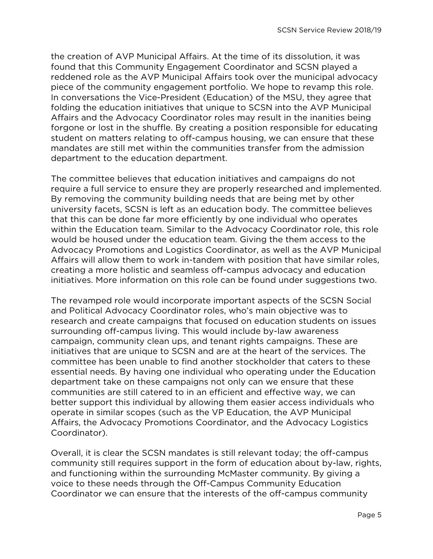the creation of AVP Municipal Affairs. At the time of its dissolution, it was found that this Community Engagement Coordinator and SCSN played a reddened role as the AVP Municipal Affairs took over the municipal advocacy piece of the community engagement portfolio. We hope to revamp this role. In conversations the Vice-President (Education) of the MSU, they agree that folding the education initiatives that unique to SCSN into the AVP Municipal Affairs and the Advocacy Coordinator roles may result in the inanities being forgone or lost in the shuffle. By creating a position responsible for educating student on matters relating to off-campus housing, we can ensure that these mandates are still met within the communities transfer from the admission department to the education department.

The committee believes that education initiatives and campaigns do not require a full service to ensure they are properly researched and implemented. By removing the community building needs that are being met by other university facets, SCSN is left as an education body. The committee believes that this can be done far more efficiently by one individual who operates within the Education team. Similar to the Advocacy Coordinator role, this role would be housed under the education team. Giving the them access to the Advocacy Promotions and Logistics Coordinator, as well as the AVP Municipal Affairs will allow them to work in-tandem with position that have similar roles, creating a more holistic and seamless off-campus advocacy and education initiatives. More information on this role can be found under suggestions two.

The revamped role would incorporate important aspects of the SCSN Social and Political Advocacy Coordinator roles, who's main objective was to research and create campaigns that focused on education students on issues surrounding off-campus living. This would include by-law awareness campaign, community clean ups, and tenant rights campaigns. These are initiatives that are unique to SCSN and are at the heart of the services. The committee has been unable to find another stockholder that caters to these essential needs. By having one individual who operating under the Education department take on these campaigns not only can we ensure that these communities are still catered to in an efficient and effective way, we can better support this individual by allowing them easier access individuals who operate in similar scopes (such as the VP Education, the AVP Municipal Affairs, the Advocacy Promotions Coordinator, and the Advocacy Logistics Coordinator).

Overall, it is clear the SCSN mandates is still relevant today; the off-campus community still requires support in the form of education about by-law, rights, and functioning within the surrounding McMaster community. By giving a voice to these needs through the Off-Campus Community Education Coordinator we can ensure that the interests of the off-campus community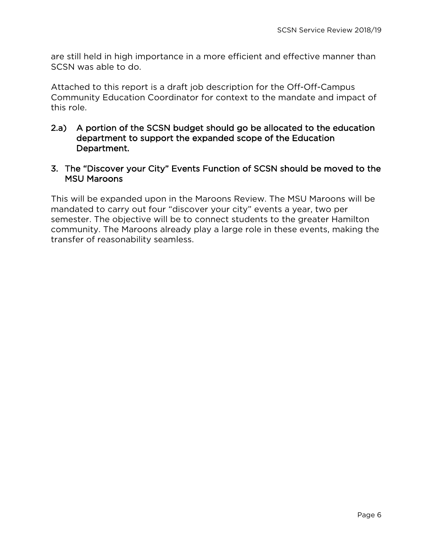are still held in high importance in a more efficient and effective manner than SCSN was able to do.

Attached to this report is a draft job description for the Off-Off-Campus Community Education Coordinator for context to the mandate and impact of this role.

- 2.a) A portion of the SCSN budget should go be allocated to the education department to support the expanded scope of the Education Department.
- 3. The "Discover your City" Events Function of SCSN should be moved to the MSU Maroons

This will be expanded upon in the Maroons Review. The MSU Maroons will be mandated to carry out four "discover your city" events a year, two per semester. The objective will be to connect students to the greater Hamilton community. The Maroons already play a large role in these events, making the transfer of reasonability seamless.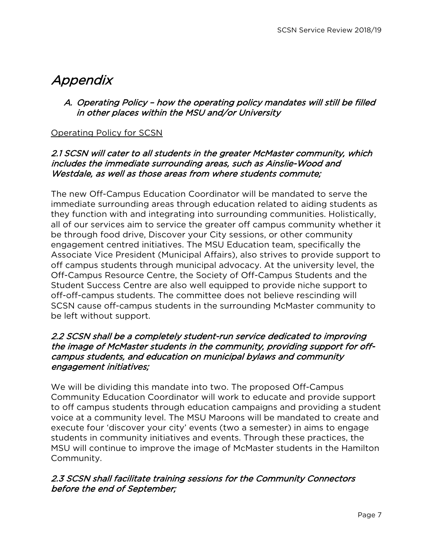# Appendix

## A. Operating Policy – how the operating policy mandates will still be filled in other places within the MSU and/or University

## Operating Policy for SCSN

## 2.1 SCSN will cater to all students in the greater McMaster community, which includes the immediate surrounding areas, such as Ainslie-Wood and Westdale, as well as those areas from where students commute;

The new Off-Campus Education Coordinator will be mandated to serve the immediate surrounding areas through education related to aiding students as they function with and integrating into surrounding communities. Holistically, all of our services aim to service the greater off campus community whether it be through food drive, Discover your City sessions, or other community engagement centred initiatives. The MSU Education team, specifically the Associate Vice President (Municipal Affairs), also strives to provide support to off campus students through municipal advocacy. At the university level, the Off-Campus Resource Centre, the Society of Off-Campus Students and the Student Success Centre are also well equipped to provide niche support to off-off-campus students. The committee does not believe rescinding will SCSN cause off-campus students in the surrounding McMaster community to be left without support.

## 2.2 SCSN shall be a completely student-run service dedicated to improving the image of McMaster students in the community, providing support for offcampus students, and education on municipal bylaws and community engagement initiatives;

We will be dividing this mandate into two. The proposed Off-Campus Community Education Coordinator will work to educate and provide support to off campus students through education campaigns and providing a student voice at a community level. The MSU Maroons will be mandated to create and execute four 'discover your city' events (two a semester) in aims to engage students in community initiatives and events. Through these practices, the MSU will continue to improve the image of McMaster students in the Hamilton Community.

## 2.3 SCSN shall facilitate training sessions for the Community Connectors before the end of September;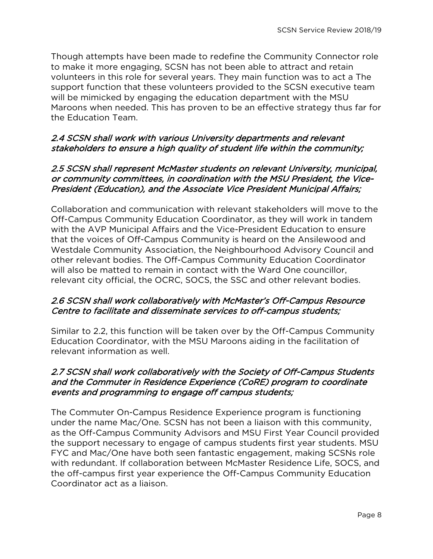Though attempts have been made to redefine the Community Connector role to make it more engaging, SCSN has not been able to attract and retain volunteers in this role for several years. They main function was to act a The support function that these volunteers provided to the SCSN executive team will be mimicked by engaging the education department with the MSU Maroons when needed. This has proven to be an effective strategy thus far for the Education Team.

## 2.4 SCSN shall work with various University departments and relevant stakeholders to ensure a high quality of student life within the community;

## 2.5 SCSN shall represent McMaster students on relevant University, municipal, or community committees, in coordination with the MSU President, the Vice-President (Education), and the Associate Vice President Municipal Affairs;

Collaboration and communication with relevant stakeholders will move to the Off-Campus Community Education Coordinator, as they will work in tandem with the AVP Municipal Affairs and the Vice-President Education to ensure that the voices of Off-Campus Community is heard on the Ansilewood and Westdale Community Association, the Neighbourhood Advisory Council and other relevant bodies. The Off-Campus Community Education Coordinator will also be matted to remain in contact with the Ward One councillor, relevant city official, the OCRC, SOCS, the SSC and other relevant bodies.

## 2.6 SCSN shall work collaboratively with McMaster's Off-Campus Resource Centre to facilitate and disseminate services to off-campus students;

Similar to 2.2, this function will be taken over by the Off-Campus Community Education Coordinator, with the MSU Maroons aiding in the facilitation of relevant information as well.

## 2.7 SCSN shall work collaboratively with the Society of Off-Campus Students and the Commuter in Residence Experience (CoRE) program to coordinate events and programming to engage off campus students;

The Commuter On-Campus Residence Experience program is functioning under the name Mac/One. SCSN has not been a liaison with this community, as the Off-Campus Community Advisors and MSU First Year Council provided the support necessary to engage of campus students first year students. MSU FYC and Mac/One have both seen fantastic engagement, making SCSNs role with redundant. If collaboration between McMaster Residence Life, SOCS, and the off-campus first year experience the Off-Campus Community Education Coordinator act as a liaison.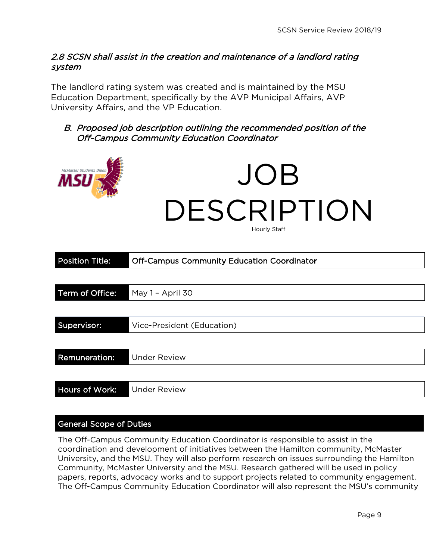## 2.8 SCSN shall assist in the creation and maintenance of a landlord rating system

The landlord rating system was created and is maintained by the MSU Education Department, specifically by the AVP Municipal Affairs, AVP University Affairs, and the VP Education.

## B. Proposed job description outlining the recommended position of the Off-Campus Community Education Coordinator



| <b>Position Title:</b> | <b>Off-Campus Community Education Coordinator</b> |  |
|------------------------|---------------------------------------------------|--|
|                        |                                                   |  |
| Term of Office:        | May 1 - April 30                                  |  |
|                        |                                                   |  |
| Supervisor:            | Vice-President (Education)                        |  |
|                        |                                                   |  |
| Remuneration:          | <b>Under Review</b>                               |  |
|                        |                                                   |  |
| Hours of Work:         | <b>Under Review</b>                               |  |

## General Scope of Duties

The Off-Campus Community Education Coordinator is responsible to assist in the coordination and development of initiatives between the Hamilton community, McMaster University, and the MSU. They will also perform research on issues surrounding the Hamilton Community, McMaster University and the MSU. Research gathered will be used in policy papers, reports, advocacy works and to support projects related to community engagement. The Off-Campus Community Education Coordinator will also represent the MSU's community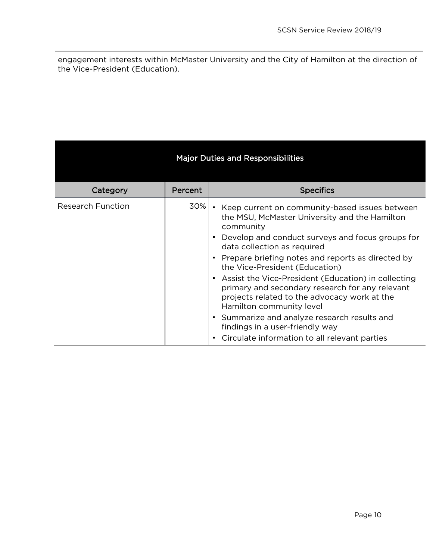engagement interests within McMaster University and the City of Hamilton at the direction of the Vice-President (Education).

| <b>Major Duties and Responsibilities</b> |         |                                                                                                                                                                                      |  |  |  |
|------------------------------------------|---------|--------------------------------------------------------------------------------------------------------------------------------------------------------------------------------------|--|--|--|
| Category                                 | Percent | <b>Specifics</b>                                                                                                                                                                     |  |  |  |
| <b>Research Function</b>                 | 30%     | • Keep current on community-based issues between<br>the MSU, McMaster University and the Hamilton<br>community                                                                       |  |  |  |
|                                          |         | Develop and conduct surveys and focus groups for<br>data collection as required                                                                                                      |  |  |  |
|                                          |         | Prepare briefing notes and reports as directed by<br>the Vice-President (Education)                                                                                                  |  |  |  |
|                                          |         | • Assist the Vice-President (Education) in collecting<br>primary and secondary research for any relevant<br>projects related to the advocacy work at the<br>Hamilton community level |  |  |  |
|                                          |         | • Summarize and analyze research results and<br>findings in a user-friendly way                                                                                                      |  |  |  |
|                                          |         | Circulate information to all relevant parties                                                                                                                                        |  |  |  |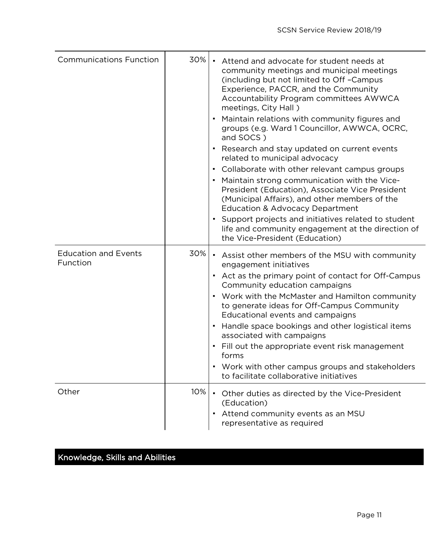| <b>Communications Function</b>          | 30% | • Attend and advocate for student needs at<br>community meetings and municipal meetings<br>(including but not limited to Off-Campus<br>Experience, PACCR, and the Community<br>Accountability Program committees AWWCA<br>meetings, City Hall)<br>• Maintain relations with community figures and<br>groups (e.g. Ward 1 Councillor, AWWCA, OCRC,<br>and SOCS)<br>• Research and stay updated on current events<br>related to municipal advocacy<br>• Collaborate with other relevant campus groups<br>Maintain strong communication with the Vice-<br>President (Education), Associate Vice President<br>(Municipal Affairs), and other members of the<br><b>Education &amp; Advocacy Department</b><br>• Support projects and initiatives related to student<br>life and community engagement at the direction of<br>the Vice-President (Education) |
|-----------------------------------------|-----|-------------------------------------------------------------------------------------------------------------------------------------------------------------------------------------------------------------------------------------------------------------------------------------------------------------------------------------------------------------------------------------------------------------------------------------------------------------------------------------------------------------------------------------------------------------------------------------------------------------------------------------------------------------------------------------------------------------------------------------------------------------------------------------------------------------------------------------------------------|
| <b>Education and Events</b><br>Function | 30% | • Assist other members of the MSU with community<br>engagement initiatives<br>• Act as the primary point of contact for Off-Campus<br>Community education campaigns<br>• Work with the McMaster and Hamilton community<br>to generate ideas for Off-Campus Community<br>Educational events and campaigns<br>• Handle space bookings and other logistical items<br>associated with campaigns<br>• Fill out the appropriate event risk management<br>forms<br>Work with other campus groups and stakeholders<br>to facilitate collaborative initiatives                                                                                                                                                                                                                                                                                                 |
| Other                                   | 10% | • Other duties as directed by the Vice-President<br>(Education)<br>Attend community events as an MSU<br>representative as required                                                                                                                                                                                                                                                                                                                                                                                                                                                                                                                                                                                                                                                                                                                    |

# Knowledge, Skills and Abilities